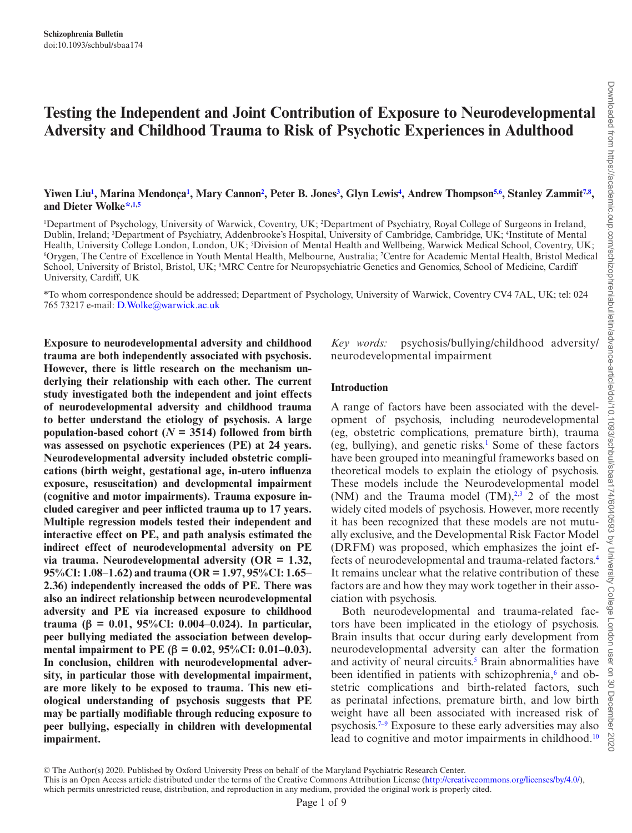# **Testing the Independent and Joint Contribution of Exposure to Neurodevelopmental Adversity and Childhood Trauma to Risk of Psychotic Experiences in Adulthood**

### Yiwen Liu<sup>1</sup>, Marina Mendonça<sup>1</sup>, Mary Cannon<sup>2</sup>, Peter B. Jones<sup>[3](#page-0-2)</sup>, Glyn Lewis<sup>4</sup>, Andrew Thompson<sup>5,[6](#page-0-5)</sup>, Stanley Zammit<sup>[7](#page-0-6),[8](#page-0-7)</sup>, **and Dieter Wolke[\\*](#page-0-8)[,1,](#page-0-0)[5](#page-0-4)**

<span id="page-0-6"></span><span id="page-0-5"></span><span id="page-0-4"></span><span id="page-0-3"></span><span id="page-0-2"></span><span id="page-0-1"></span><span id="page-0-0"></span>1 Department of Psychology, University of Warwick, Coventry, UK; 2 Department of Psychiatry, Royal College of Surgeons in Ireland, Dublin, Ireland; <sup>3</sup>Department of Psychiatry, Addenbrooke's Hospital, University of Cambridge, Cambridge, UK; <sup>4</sup>Institute of Mental Health, University College London, London, UK; <sup>5</sup>Division of Mental Health and Wellbeing, Warwick Medical School, Coventry, UK;<br><sup>6</sup>Orween, The Centre of Excellence in Youth Mental Health, Melbourne, Australia: *Centre for* Orygen, The Centre of Excellence in Youth Mental Health, Melbourne, Australia; 7 Centre for Academic Mental Health, Bristol Medical School, University of Bristol, Bristol, UK; <sup>8</sup>MRC Centre for Neuropsychiatric Genetics and Genomics, School of Medicine, Cardiff University, Cardiff, UK

<span id="page-0-8"></span><span id="page-0-7"></span>\*To whom correspondence should be addressed; Department of Psychology, University of Warwick, Coventry CV4 7AL, UK; tel: 024 765 73217 e-mail: [D.Wolke@warwick.ac.uk](mailto:D.Wolke@warwick.ac.uk?subject=)

**Exposure to neurodevelopmental adversity and childhood trauma are both independently associated with psychosis. However, there is little research on the mechanism underlying their relationship with each other. The current study investigated both the independent and joint effects of neurodevelopmental adversity and childhood trauma to better understand the etiology of psychosis. A large population-based cohort (** $N = 3514$ **) followed from birth was assessed on psychotic experiences (PE) at 24 years. Neurodevelopmental adversity included obstetric complications (birth weight, gestational age, in-utero influenza exposure, resuscitation) and developmental impairment (cognitive and motor impairments). Trauma exposure included caregiver and peer inflicted trauma up to 17 years. Multiple regression models tested their independent and interactive effect on PE, and path analysis estimated the indirect effect of neurodevelopmental adversity on PE via trauma. Neurodevelopmental adversity (OR = 1.32, 95%CI: 1.08–1.62) and trauma (OR = 1.97, 95%CI: 1.65– 2.36) independently increased the odds of PE. There was also an indirect relationship between neurodevelopmental adversity and PE via increased exposure to childhood trauma (β = 0.01, 95%CI: 0.004–0.024). In particular, peer bullying mediated the association between developmental impairment to PE (β = 0.02, 95%CI: 0.01–0.03). In conclusion, children with neurodevelopmental adversity, in particular those with developmental impairment, are more likely to be exposed to trauma. This new etiological understanding of psychosis suggests that PE may be partially modifiable through reducing exposure to peer bullying, especially in children with developmental impairment.**

*Key words:* psychosis/bullying/childhood adversity/ neurodevelopmental impairment

#### **Introduction**

A range of factors have been associated with the development of psychosis, including neurodevelopmental (eg, obstetric complications, premature birth), trauma (eg, bullying), and genetic risks.<sup>1</sup> Some of these factors have been grouped into meaningful frameworks based on theoretical models to explain the etiology of psychosis. These models include the Neurodevelopmental model (NM) and the Trauma model  $(TM)$ ,<sup>2[,3](#page-7-2)</sup> 2 of the most widely cited models of psychosis. However, more recently it has been recognized that these models are not mutually exclusive, and the Developmental Risk Factor Model (DRFM) was proposed, which emphasizes the joint effects of neurodevelopmental and trauma-related factors.[4](#page-7-3) It remains unclear what the relative contribution of these factors are and how they may work together in their association with psychosis.

Both neurodevelopmental and trauma-related factors have been implicated in the etiology of psychosis. Brain insults that occur during early development from neurodevelopmental adversity can alter the formation and activity of neural circuits.<sup>5</sup> Brain abnormalities have been identified in patients with schizophrenia,<sup>6</sup> and obstetric complications and birth-related factors, such as perinatal infections, premature birth, and low birth weight have all been associated with increased risk of psychosis[.7](#page-7-6)[–9](#page-7-7) Exposure to these early adversities may also lead to cognitive and motor impairments in childhood.<sup>[10](#page-7-8)</sup>

© The Author(s) 2020. Published by Oxford University Press on behalf of the Maryland Psychiatric Research Center.

This is an Open Access article distributed under the terms of the Creative Commons Attribution License [\(http://creativecommons.org/licenses/by/4.0/\)](http://creativecommons.org/licenses/by/4.0/), which permits unrestricted reuse, distribution, and reproduction in any medium, provided the original work is properly cited.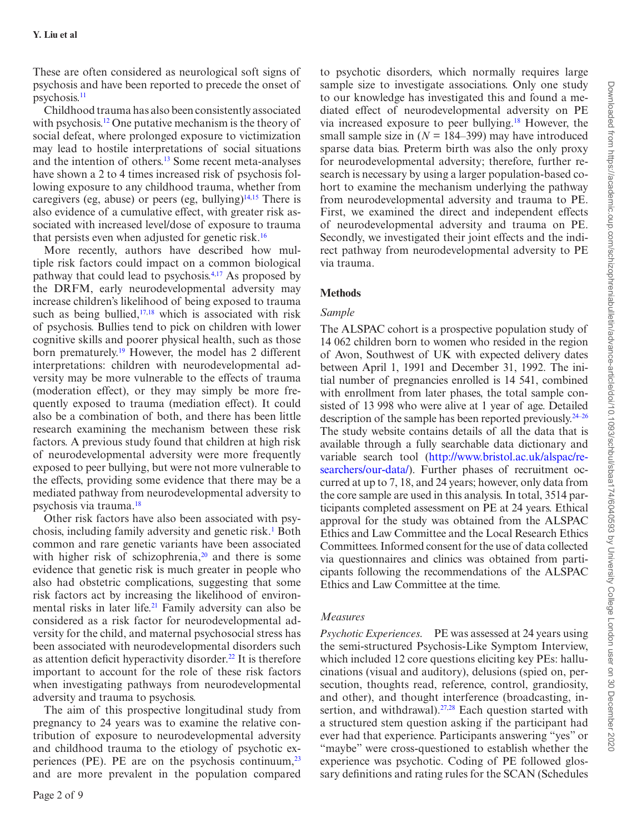These are often considered as neurological soft signs of psychosis and have been reported to precede the onset of psychosis[.11](#page-7-9)

Childhood trauma has also been consistently associated with psychosis.<sup>[12](#page-7-10)</sup> One putative mechanism is the theory of social defeat, where prolonged exposure to victimization may lead to hostile interpretations of social situations and the intention of others.[13](#page-7-11) Some recent meta-analyses have shown a 2 to 4 times increased risk of psychosis following exposure to any childhood trauma, whether from caregivers (eg, abuse) or peers (eg, bullying) $14,15$  $14,15$  There is also evidence of a cumulative effect, with greater risk associated with increased level/dose of exposure to trauma that persists even when adjusted for genetic risk.[16](#page-7-14)

More recently, authors have described how multiple risk factors could impact on a common biological pathway that could lead to psychosis[.4](#page-7-3)[,17](#page-8-0) As proposed by the DRFM, early neurodevelopmental adversity may increase children's likelihood of being exposed to trauma such as being bullied, $17,18$  $17,18$  which is associated with risk of psychosis. Bullies tend to pick on children with lower cognitive skills and poorer physical health, such as those born prematurely.<sup>19</sup> However, the model has 2 different interpretations: children with neurodevelopmental adversity may be more vulnerable to the effects of trauma (moderation effect), or they may simply be more frequently exposed to trauma (mediation effect). It could also be a combination of both, and there has been little research examining the mechanism between these risk factors. A previous study found that children at high risk of neurodevelopmental adversity were more frequently exposed to peer bullying, but were not more vulnerable to the effects, providing some evidence that there may be a mediated pathway from neurodevelopmental adversity to psychosis via trauma.[18](#page-8-1)

Other risk factors have also been associated with psy-chosis, including family adversity and genetic risk.<sup>[1](#page-7-0)</sup> Both common and rare genetic variants have been associated with higher risk of schizophrenia, $2<sup>0</sup>$  and there is some evidence that genetic risk is much greater in people who also had obstetric complications, suggesting that some risk factors act by increasing the likelihood of environmental risks in later life.<sup>21</sup> Family adversity can also be considered as a risk factor for neurodevelopmental adversity for the child, and maternal psychosocial stress has been associated with neurodevelopmental disorders such as attention deficit hyperactivity disorder.<sup>22</sup> It is therefore important to account for the role of these risk factors when investigating pathways from neurodevelopmental adversity and trauma to psychosis.

The aim of this prospective longitudinal study from pregnancy to 24 years was to examine the relative contribution of exposure to neurodevelopmental adversity and childhood trauma to the etiology of psychotic experiences (PE). PE are on the psychosis continuum, $^{23}$  $^{23}$  $^{23}$ and are more prevalent in the population compared

to psychotic disorders, which normally requires large sample size to investigate associations. Only one study to our knowledge has investigated this and found a mediated effect of neurodevelopmental adversity on PE via increased exposure to peer bullying.[18](#page-8-1) However, the small sample size in  $(N = 184-399)$  may have introduced sparse data bias. Preterm birth was also the only proxy for neurodevelopmental adversity; therefore, further research is necessary by using a larger population-based cohort to examine the mechanism underlying the pathway from neurodevelopmental adversity and trauma to PE. First, we examined the direct and independent effects of neurodevelopmental adversity and trauma on PE. Secondly, we investigated their joint effects and the indirect pathway from neurodevelopmental adversity to PE via trauma.

## **Methods**

### *Sample*

The ALSPAC cohort is a prospective population study of 14 062 children born to women who resided in the region of Avon, Southwest of UK with expected delivery dates between April 1, 1991 and December 31, 1992. The initial number of pregnancies enrolled is 14 541, combined with enrollment from later phases, the total sample consisted of 13 998 who were alive at 1 year of age. Detailed description of the sample has been reported previously.[24–](#page-8-7)[26](#page-8-8) The study website contains details of all the data that is available through a fully searchable data dictionary and variable search tool [\(http://www.bristol.ac.uk/alspac/re](http://www.bristol.ac.uk/alspac/researchers/our-data/)[searchers/our-data/](http://www.bristol.ac.uk/alspac/researchers/our-data/)). Further phases of recruitment occurred at up to 7, 18, and 24 years; however, only data from the core sample are used in this analysis. In total, 3514 participants completed assessment on PE at 24 years. Ethical approval for the study was obtained from the ALSPAC Ethics and Law Committee and the Local Research Ethics Committees. Informed consent for the use of data collected via questionnaires and clinics was obtained from participants following the recommendations of the ALSPAC Ethics and Law Committee at the time.

## *Measures*

*Psychotic Experiences.* PE was assessed at 24 years using the semi-structured Psychosis-Like Symptom Interview, which included 12 core questions eliciting key PEs: hallucinations (visual and auditory), delusions (spied on, persecution, thoughts read, reference, control, grandiosity, and other), and thought interference (broadcasting, in-sertion, and withdrawal).<sup>[27](#page-8-9),28</sup> Each question started with a structured stem question asking if the participant had ever had that experience. Participants answering "yes" or "maybe" were cross-questioned to establish whether the experience was psychotic. Coding of PE followed glossary definitions and rating rules for the SCAN (Schedules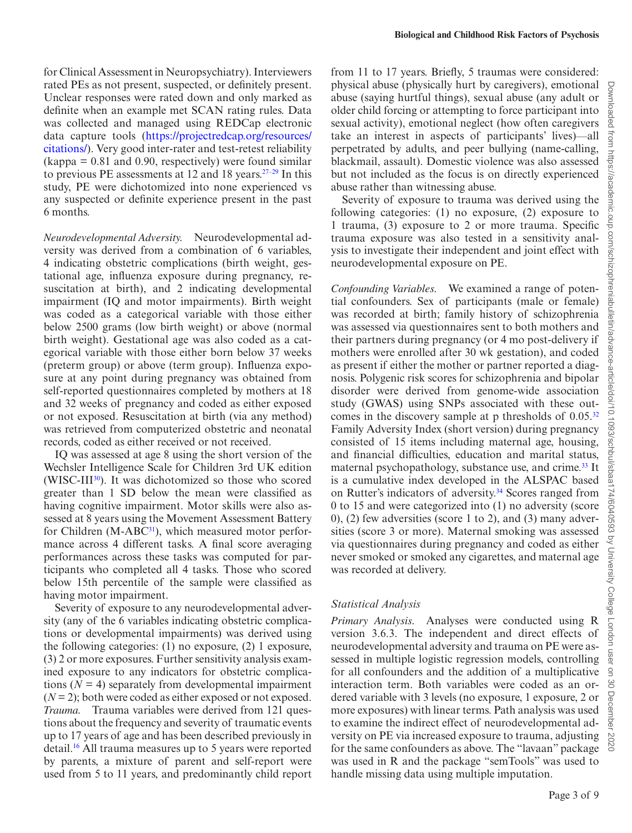for Clinical Assessment in Neuropsychiatry). Interviewers rated PEs as not present, suspected, or definitely present. Unclear responses were rated down and only marked as definite when an example met SCAN rating rules. Data was collected and managed using REDCap electronic data capture tools ([https://projectredcap.org/resources/](https://projectredcap.org/resources/citations/) [citations/\)](https://projectredcap.org/resources/citations/). Very good inter-rater and test-retest reliability  $(kappa = 0.81$  and 0.90, respectively) were found similar to previous PE assessments at 12 and 18 years. $27-29$  In this study, PE were dichotomized into none experienced vs any suspected or definite experience present in the past 6 months.

*Neurodevelopmental Adversity.* Neurodevelopmental adversity was derived from a combination of 6 variables, 4 indicating obstetric complications (birth weight, gestational age, influenza exposure during pregnancy, resuscitation at birth), and 2 indicating developmental impairment (IQ and motor impairments). Birth weight was coded as a categorical variable with those either below 2500 grams (low birth weight) or above (normal birth weight). Gestational age was also coded as a categorical variable with those either born below 37 weeks (preterm group) or above (term group). Influenza exposure at any point during pregnancy was obtained from self-reported questionnaires completed by mothers at 18 and 32 weeks of pregnancy and coded as either exposed or not exposed. Resuscitation at birth (via any method) was retrieved from computerized obstetric and neonatal records, coded as either received or not received.

IQ was assessed at age 8 using the short version of the Wechsler Intelligence Scale for Children 3rd UK edition (WISC-III<sup>[30](#page-8-12)</sup>). It was dichotomized so those who scored greater than 1 SD below the mean were classified as having cognitive impairment. Motor skills were also assessed at 8 years using the Movement Assessment Battery for Children (M-ABC<sup>31</sup>), which measured motor performance across 4 different tasks. A final score averaging performances across these tasks was computed for participants who completed all 4 tasks. Those who scored below 15th percentile of the sample were classified as having motor impairment.

Severity of exposure to any neurodevelopmental adversity (any of the 6 variables indicating obstetric complications or developmental impairments) was derived using the following categories: (1) no exposure, (2) 1 exposure, (3) 2 or more exposures. Further sensitivity analysis examined exposure to any indicators for obstetric complications  $(N = 4)$  separately from developmental impairment (*N* = 2); both were coded as either exposed or not exposed. *Trauma.* Trauma variables were derived from 121 questions about the frequency and severity of traumatic events up to 17 years of age and has been described previously in detail.[16](#page-7-14) All trauma measures up to 5 years were reported by parents, a mixture of parent and self-report were used from 5 to 11 years, and predominantly child report from 11 to 17 years. Briefly, 5 traumas were considered: physical abuse (physically hurt by caregivers), emotional abuse (saying hurtful things), sexual abuse (any adult or older child forcing or attempting to force participant into sexual activity), emotional neglect (how often caregivers take an interest in aspects of participants' lives)—all perpetrated by adults, and peer bullying (name-calling, blackmail, assault). Domestic violence was also assessed but not included as the focus is on directly experienced abuse rather than witnessing abuse.

Severity of exposure to trauma was derived using the following categories: (1) no exposure, (2) exposure to 1 trauma, (3) exposure to 2 or more trauma. Specific trauma exposure was also tested in a sensitivity analysis to investigate their independent and joint effect with neurodevelopmental exposure on PE.

*Confounding Variables.* We examined a range of potential confounders. Sex of participants (male or female) was recorded at birth; family history of schizophrenia was assessed via questionnaires sent to both mothers and their partners during pregnancy (or 4 mo post-delivery if mothers were enrolled after 30 wk gestation), and coded as present if either the mother or partner reported a diagnosis. Polygenic risk scores for schizophrenia and bipolar disorder were derived from genome-wide association study (GWAS) using SNPs associated with these out-comes in the discovery sample at p thresholds of 0.05.<sup>[32](#page-8-14)</sup> Family Adversity Index (short version) during pregnancy consisted of 15 items including maternal age, housing, and financial difficulties, education and marital status, maternal psychopathology, substance use, and crime.<sup>33</sup> It is a cumulative index developed in the ALSPAC based on Rutter's indicators of adversity.<sup>34</sup> Scores ranged from 0 to 15 and were categorized into (1) no adversity (score 0), (2) few adversities (score 1 to 2), and (3) many adversities (score 3 or more). Maternal smoking was assessed via questionnaires during pregnancy and coded as either never smoked or smoked any cigarettes, and maternal age was recorded at delivery.

## *Statistical Analysis*

*Primary Analysis.* Analyses were conducted using R version 3.6.3. The independent and direct effects of neurodevelopmental adversity and trauma on PE were assessed in multiple logistic regression models, controlling for all confounders and the addition of a multiplicative interaction term. Both variables were coded as an ordered variable with 3 levels (no exposure, 1 exposure, 2 or more exposures) with linear terms. Path analysis was used to examine the indirect effect of neurodevelopmental adversity on PE via increased exposure to trauma, adjusting for the same confounders as above. The "lavaan" package was used in R and the package "semTools" was used to handle missing data using multiple imputation.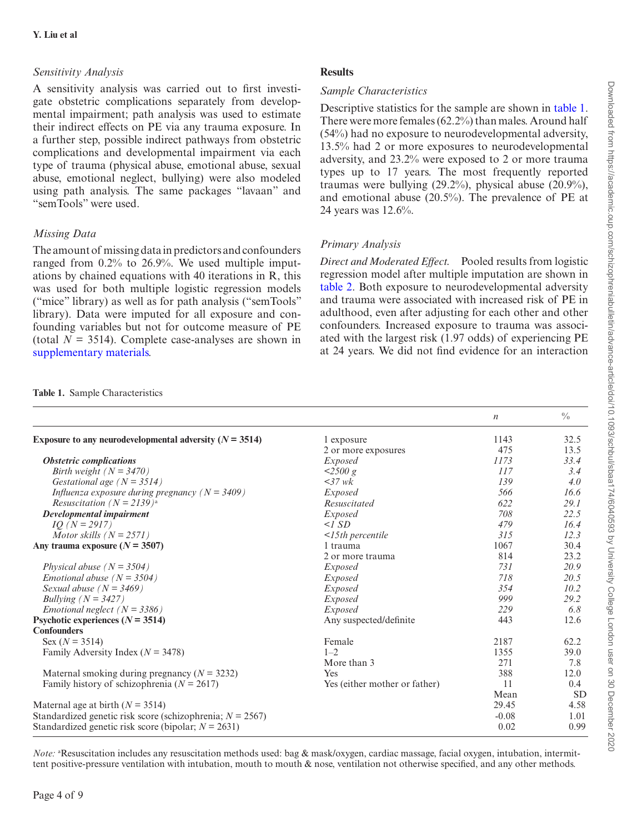# *Sensitivity Analysis*

A sensitivity analysis was carried out to first investigate obstetric complications separately from developmental impairment; path analysis was used to estimate their indirect effects on PE via any trauma exposure. In a further step, possible indirect pathways from obstetric complications and developmental impairment via each type of trauma (physical abuse, emotional abuse, sexual abuse, emotional neglect, bullying) were also modeled using path analysis. The same packages "lavaan" and "semTools" were used.

# *Missing Data*

The amount of missing data in predictors and confounders ranged from 0.2% to 26.9%. We used multiple imputations by chained equations with 40 iterations in R, this was used for both multiple logistic regression models ("mice" library) as well as for path analysis ("semTools" library). Data were imputed for all exposure and confounding variables but not for outcome measure of PE (total  $N = 3514$ ). Complete case-analyses are shown in [supplementary materials](http://academic.oup.com/schizophreniabulletin/article-lookup/doi/10.1093/schbul/sbaa174#supplementary-data).

# **Results**

# *Sample Characteristics*

Descriptive statistics for the sample are shown in [table 1](#page-3-0). There were more females (62.2%) than males. Around half (54%) had no exposure to neurodevelopmental adversity, 13.5% had 2 or more exposures to neurodevelopmental adversity, and 23.2% were exposed to 2 or more trauma types up to 17 years. The most frequently reported traumas were bullying (29.2%), physical abuse (20.9%), and emotional abuse (20.5%). The prevalence of PE at 24 years was 12.6%.

# *Primary Analysis*

*Direct and Moderated Effect.* Pooled results from logistic regression model after multiple imputation are shown in [table 2.](#page-4-0) Both exposure to neurodevelopmental adversity and trauma were associated with increased risk of PE in adulthood, even after adjusting for each other and other confounders. Increased exposure to trauma was associated with the largest risk (1.97 odds) of experiencing PE at 24 years. We did not find evidence for an interaction

|                                                               |                               | $\boldsymbol{n}$ | $\frac{0}{0}$ |
|---------------------------------------------------------------|-------------------------------|------------------|---------------|
| Exposure to any neurodevelopmental adversity ( $N = 3514$ )   | 1 exposure                    | 1143             | 32.5          |
|                                                               | 2 or more exposures           | 475              | 13.5          |
| <b>Obstetric complications</b>                                | <i>Exposed</i>                | 1173             | 33.4          |
| Birth weight $(N = 3470)$                                     | $\leq$ 2500 g                 | 117              | 3.4           |
| Gestational age ( $N = 3514$ )                                | $<37$ wk                      | 139              | 4.0           |
| Influenza exposure during pregnancy ( $N = 3409$ )            | Exposed                       | 566              | 16.6          |
| <i>Resuscitation</i> ( $N = 2139$ <sup>a</sup> ) <sup>a</sup> | Resuscitated                  | 622              | 29.1          |
| Developmental impairment                                      | <i>Exposed</i>                | 708              | 22.5          |
| $IQ (N = 2917)$                                               | $\leq$ SD                     | 479              | 16.4          |
| Motor skills $(N = 2571)$                                     | $<$ 15th percentile           | 315              | 12.3          |
| Any trauma exposure $(N = 3507)$                              | 1 trauma                      | 1067             | 30.4          |
|                                                               | 2 or more trauma              | 814              | 23.2          |
| Physical abuse $(N = 3504)$                                   | <i>Exposed</i>                | 731              | 20.9          |
| <i>Emotional abuse</i> $(N = 3504)$                           | <i>Exposed</i>                | 718              | 20.5          |
| Sexual abuse $(N = 3469)$                                     | <i>Exposed</i>                | 354              | 10.2          |
| Bullying ( $N = 3427$ )                                       | <i>Exposed</i>                | 999              | 29.2          |
| <i>Emotional neglect</i> $(N = 3386)$                         | Exposed                       | 229              | 6.8           |
| Psychotic experiences $(N = 3514)$                            | Any suspected/definite        | 443              | 12.6          |
| <b>Confounders</b>                                            |                               |                  |               |
| Sex ( $N = 3514$ )                                            | Female                        | 2187             | 62.2          |
| Family Adversity Index ( $N = 3478$ )                         | $1 - 2$                       | 1355             | 39.0          |
|                                                               | More than 3                   | 271              | 7.8           |
| Maternal smoking during pregnancy ( $N = 3232$ )              | <b>Yes</b>                    | 388              | 12.0          |
| Family history of schizophrenia ( $N = 2617$ )                | Yes (either mother or father) | 11               | 0.4           |
|                                                               |                               | Mean             | <b>SD</b>     |
| Maternal age at birth $(N = 3514)$                            |                               | 29.45            | 4.58          |
| Standardized genetic risk score (schizophrenia; $N = 2567$ )  |                               | $-0.08$          | 1.01          |
| Standardized genetic risk score (bipolar; $N = 2631$ )        |                               | 0.02             | 0.99          |

*Note:* <sup>a</sup>Resuscitation includes any resuscitation methods used: bag & mask/oxygen, cardiac massage, facial oxygen, intubation, intermittent positive-pressure ventilation with intubation, mouth to mouth & nose, ventilation not otherwise specified, and any other methods.

<span id="page-3-0"></span>**Table 1.** Sample Characteristics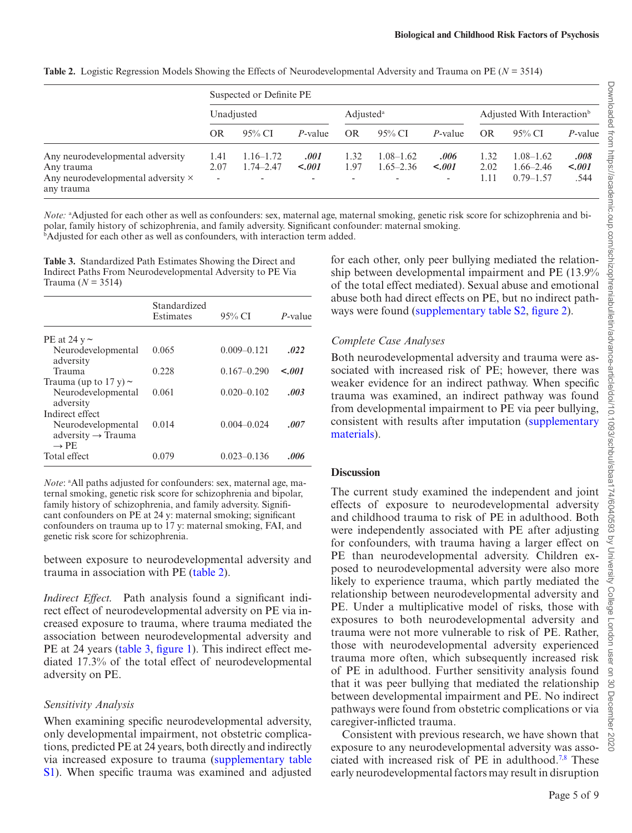<span id="page-4-0"></span>**Table 2.** Logistic Regression Models Showing the Effects of Neurodevelopmental Adversity and Trauma on PE (*N* = 3514)

|                                                                                                           | Suspected or Definite PE |                                                            |                                            |                                          |                                                            |                                             |                      |                                                 |                         |
|-----------------------------------------------------------------------------------------------------------|--------------------------|------------------------------------------------------------|--------------------------------------------|------------------------------------------|------------------------------------------------------------|---------------------------------------------|----------------------|-------------------------------------------------|-------------------------|
|                                                                                                           | Unadjusted               |                                                            | Adjusted <sup>a</sup>                      |                                          | Adjusted With Interaction <sup>b</sup>                     |                                             |                      |                                                 |                         |
|                                                                                                           | OR                       | $95\%$ CI                                                  | <i>P</i> -value                            | <b>OR</b>                                | $95\%$ CI                                                  | <i>P</i> -value                             | <b>OR</b>            | $95\%$ CI                                       | P-value                 |
| Any neurodevelopmental adversity<br>Any trauma<br>Any neurodevelopmental adversity $\times$<br>any trauma | 1.41<br>2.07<br>٠        | $1.16 - 1.72$<br>$1.74 - 2.47$<br>$\overline{\phantom{0}}$ | .001<br>< .001<br>$\overline{\phantom{0}}$ | 1.32<br>1.97<br>$\overline{\phantom{a}}$ | $1.08 - 1.62$<br>$1.65 - 2.36$<br>$\overline{\phantom{a}}$ | .006<br>$-.001$<br>$\overline{\phantom{a}}$ | 1.32<br>2.02<br>1.11 | $1.08 - 1.62$<br>$1.66 - 2.46$<br>$0.79 - 1.57$ | .008<br>$-.001$<br>.544 |

*Note:* "Adjusted for each other as well as confounders: sex, maternal age, maternal smoking, genetic risk score for schizophrenia and bipolar, family history of schizophrenia, and family adversity. Significant confounder: maternal smoking. b Adjusted for each other as well as confounders, with interaction term added.

<span id="page-4-1"></span>**Table 3.** Standardized Path Estimates Showing the Direct and Indirect Paths From Neurodevelopmental Adversity to PE Via Trauma (*N* = 3514)

|                                                                         | Standardized<br>Estimates | $95\%$ CI       | P-value     |
|-------------------------------------------------------------------------|---------------------------|-----------------|-------------|
| PE at 24 $v \sim$                                                       |                           |                 |             |
| Neurodevelopmental<br>adversity                                         | 0.065                     | $0.009 - 0.121$ | .022        |
| Trauma                                                                  | 0.228                     | $0.167 - 0.290$ | $\leq 0.01$ |
| Trauma (up to 17 y) $\sim$<br>Neurodevelopmental<br>adversity           | 0.061                     | $0.020 - 0.102$ | .003        |
| Indirect effect<br>Neurodevelopmental<br>adversity $\rightarrow$ Trauma | 0.014                     | $0.004 - 0.024$ | .007        |
| $\rightarrow$ PE<br>Total effect                                        | 0.079                     | $0.023 - 0.136$ | .006        |

Note: <sup>a</sup>All paths adjusted for confounders: sex, maternal age, maternal smoking, genetic risk score for schizophrenia and bipolar, family history of schizophrenia, and family adversity. Significant confounders on PE at 24 y: maternal smoking; significant confounders on trauma up to 17 y: maternal smoking, FAI, and genetic risk score for schizophrenia.

between exposure to neurodevelopmental adversity and trauma in association with PE [\(table 2](#page-4-0)).

*Indirect Effect.* Path analysis found a significant indirect effect of neurodevelopmental adversity on PE via increased exposure to trauma, where trauma mediated the association between neurodevelopmental adversity and PE at 24 years ([table 3](#page-4-1), [figure 1\)](#page-5-0). This indirect effect mediated 17.3% of the total effect of neurodevelopmental adversity on PE.

## *Sensitivity Analysis*

When examining specific neurodevelopmental adversity, only developmental impairment, not obstetric complications, predicted PE at 24 years, both directly and indirectly via increased exposure to trauma [\(supplementary table](http://academic.oup.com/schizophreniabulletin/article-lookup/doi/10.1093/schbul/sbaa174#supplementary-data) [S1](http://academic.oup.com/schizophreniabulletin/article-lookup/doi/10.1093/schbul/sbaa174#supplementary-data)). When specific trauma was examined and adjusted for each other, only peer bullying mediated the relationship between developmental impairment and PE (13.9% of the total effect mediated). Sexual abuse and emotional abuse both had direct effects on PE, but no indirect pathways were found ([supplementary table S2](http://academic.oup.com/schizophreniabulletin/article-lookup/doi/10.1093/schbul/sbaa174#supplementary-data), [figure 2\)](#page-5-1).

# *Complete Case Analyses*

Both neurodevelopmental adversity and trauma were associated with increased risk of PE; however, there was weaker evidence for an indirect pathway. When specific trauma was examined, an indirect pathway was found from developmental impairment to PE via peer bullying, consistent with results after imputation [\(supplementary](http://academic.oup.com/schizophreniabulletin/article-lookup/doi/10.1093/schbul/sbaa174#supplementary-data) [materials\)](http://academic.oup.com/schizophreniabulletin/article-lookup/doi/10.1093/schbul/sbaa174#supplementary-data).

## **Discussion**

The current study examined the independent and joint effects of exposure to neurodevelopmental adversity and childhood trauma to risk of PE in adulthood. Both were independently associated with PE after adjusting for confounders, with trauma having a larger effect on PE than neurodevelopmental adversity. Children exposed to neurodevelopmental adversity were also more likely to experience trauma, which partly mediated the relationship between neurodevelopmental adversity and PE. Under a multiplicative model of risks, those with exposures to both neurodevelopmental adversity and trauma were not more vulnerable to risk of PE. Rather, those with neurodevelopmental adversity experienced trauma more often, which subsequently increased risk of PE in adulthood. Further sensitivity analysis found that it was peer bullying that mediated the relationship between developmental impairment and PE. No indirect pathways were found from obstetric complications or via caregiver-inflicted trauma.

Consistent with previous research, we have shown that exposure to any neurodevelopmental adversity was asso-ciated with increased risk of PE in adulthood.<sup>7,[8](#page-7-15)</sup> These early neurodevelopmental factors may result in disruption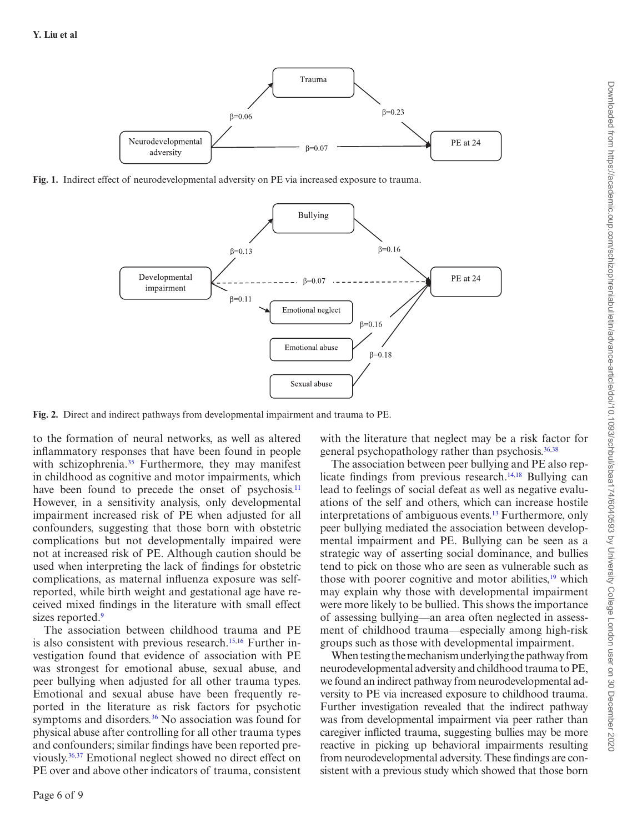

**Fig. 1.** Indirect effect of neurodevelopmental adversity on PE via increased exposure to trauma.

<span id="page-5-0"></span>

**Fig. 2.** Direct and indirect pathways from developmental impairment and trauma to PE.

to the formation of neural networks, as well as altered inflammatory responses that have been found in people with schizophrenia.<sup>35</sup> Furthermore, they may manifest in childhood as cognitive and motor impairments, which have been found to precede the onset of psychosis.<sup>[11](#page-7-9)</sup> However, in a sensitivity analysis, only developmental impairment increased risk of PE when adjusted for all confounders, suggesting that those born with obstetric complications but not developmentally impaired were not at increased risk of PE. Although caution should be used when interpreting the lack of findings for obstetric complications, as maternal influenza exposure was selfreported, while birth weight and gestational age have received mixed findings in the literature with small effect sizes reported.<sup>[9](#page-7-7)</sup>

The association between childhood trauma and PE is also consistent with previous research.<sup>[15](#page-7-13),16</sup> Further investigation found that evidence of association with PE was strongest for emotional abuse, sexual abuse, and peer bullying when adjusted for all other trauma types. Emotional and sexual abuse have been frequently reported in the literature as risk factors for psychotic symptoms and disorders.<sup>36</sup> No association was found for physical abuse after controlling for all other trauma types and confounders; similar findings have been reported previously[.36](#page-8-18),[37](#page-8-19) Emotional neglect showed no direct effect on PE over and above other indicators of trauma, consistent

<span id="page-5-1"></span>with the literature that neglect may be a risk factor for general psychopathology rather than psychosis.<sup>[36](#page-8-18),[38](#page-8-20)</sup>

The association between peer bullying and PE also rep-licate findings from previous research.<sup>[14,](#page-7-12)18</sup> Bullying can lead to feelings of social defeat as well as negative evaluations of the self and others, which can increase hostile interpretations of ambiguous events.<sup>13</sup> Furthermore, only peer bullying mediated the association between developmental impairment and PE. Bullying can be seen as a strategic way of asserting social dominance, and bullies tend to pick on those who are seen as vulnerable such as those with poorer cognitive and motor abilities,<sup>19</sup> which may explain why those with developmental impairment were more likely to be bullied. This shows the importance of assessing bullying—an area often neglected in assessment of childhood trauma—especially among high-risk groups such as those with developmental impairment.

When testing the mechanism underlying the pathway from neurodevelopmental adversity and childhood trauma to PE, we found an indirect pathway from neurodevelopmental adversity to PE via increased exposure to childhood trauma. Further investigation revealed that the indirect pathway was from developmental impairment via peer rather than caregiver inflicted trauma, suggesting bullies may be more reactive in picking up behavioral impairments resulting from neurodevelopmental adversity. These findings are consistent with a previous study which showed that those born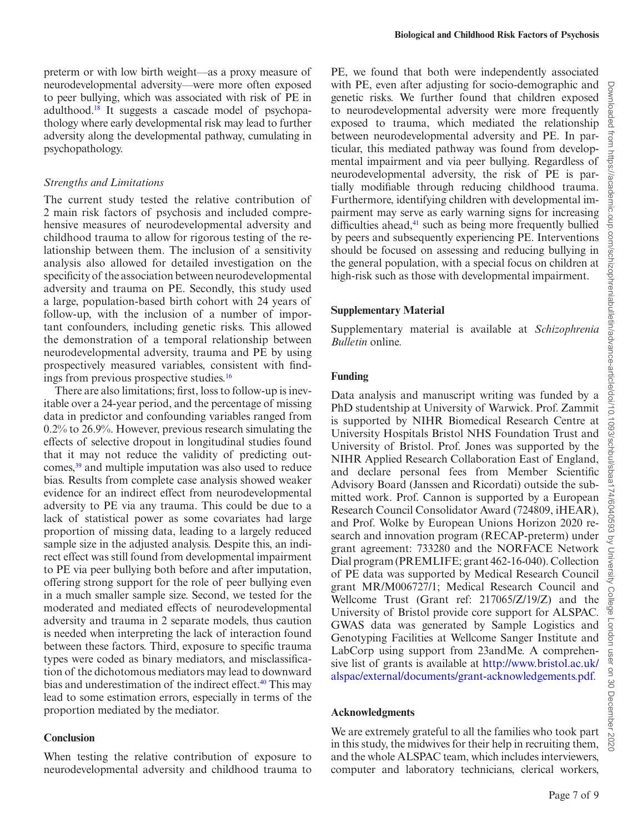preterm or with low birth weight—as a proxy measure of neurodevelopmental adversity—were more often exposed to peer bullying, which was associated with risk of PE in adulthood[.18](#page-8-1) It suggests a cascade model of psychopathology where early developmental risk may lead to further adversity along the developmental pathway, cumulating in psychopathology.

### *Strengths and Limitations*

The current study tested the relative contribution of 2 main risk factors of psychosis and included comprehensive measures of neurodevelopmental adversity and childhood trauma to allow for rigorous testing of the relationship between them. The inclusion of a sensitivity analysis also allowed for detailed investigation on the specificity of the association between neurodevelopmental adversity and trauma on PE. Secondly, this study used a large, population-based birth cohort with 24 years of follow-up, with the inclusion of a number of important confounders, including genetic risks. This allowed the demonstration of a temporal relationship between neurodevelopmental adversity, trauma and PE by using prospectively measured variables, consistent with findings from previous prospective studies.[16](#page-7-14)

There are also limitations; first, loss to follow-up is inevitable over a 24-year period, and the percentage of missing data in predictor and confounding variables ranged from 0.2% to 26.9%. However, previous research simulating the effects of selective dropout in longitudinal studies found that it may not reduce the validity of predicting outcomes,<sup>39</sup> and multiple imputation was also used to reduce bias. Results from complete case analysis showed weaker evidence for an indirect effect from neurodevelopmental adversity to PE via any trauma. This could be due to a lack of statistical power as some covariates had large proportion of missing data, leading to a largely reduced sample size in the adjusted analysis. Despite this, an indirect effect was still found from developmental impairment to PE via peer bullying both before and after imputation, offering strong support for the role of peer bullying even in a much smaller sample size. Second, we tested for the moderated and mediated effects of neurodevelopmental adversity and trauma in 2 separate models, thus caution is needed when interpreting the lack of interaction found between these factors. Third, exposure to specific trauma types were coded as binary mediators, and misclassification of the dichotomous mediators may lead to downward bias and underestimation of the indirect effect.<sup>40</sup> This may lead to some estimation errors, especially in terms of the proportion mediated by the mediator.

#### **Conclusion**

When testing the relative contribution of exposure to neurodevelopmental adversity and childhood trauma to PE, we found that both were independently associated with PE, even after adjusting for socio-demographic and genetic risks. We further found that children exposed to neurodevelopmental adversity were more frequently exposed to trauma, which mediated the relationship between neurodevelopmental adversity and PE. In particular, this mediated pathway was found from developmental impairment and via peer bullying. Regardless of neurodevelopmental adversity, the risk of PE is partially modifiable through reducing childhood trauma. Furthermore, identifying children with developmental impairment may serve as early warning signs for increasing difficulties ahead, $41$  such as being more frequently bullied by peers and subsequently experiencing PE. Interventions should be focused on assessing and reducing bullying in the general population, with a special focus on children at high-risk such as those with developmental impairment.

### **Supplementary Material**

Supplementary material is available at *Schizophrenia Bulletin* online.

### **Funding**

Data analysis and manuscript writing was funded by a PhD studentship at University of Warwick. Prof. Zammit is supported by NIHR Biomedical Research Centre at University Hospitals Bristol NHS Foundation Trust and University of Bristol. Prof. Jones was supported by the NIHR Applied Research Collaboration East of England, and declare personal fees from Member Scientific Advisory Board (Janssen and Ricordati) outside the submitted work. Prof. Cannon is supported by a European Research Council Consolidator Award (724809, iHEAR), and Prof. Wolke by European Unions Horizon 2020 research and innovation program (RECAP-preterm) under grant agreement: 733280 and the NORFACE Network Dial program (PREMLIFE; grant 462-16-040). Collection of PE data was supported by Medical Research Council grant MR/M006727/1; Medical Research Council and Wellcome Trust (Grant ref: 217065/Z/19/Z) and the University of Bristol provide core support for ALSPAC. GWAS data was generated by Sample Logistics and Genotyping Facilities at Wellcome Sanger Institute and LabCorp using support from 23andMe. A comprehensive list of grants is available at [http://www.bristol.ac.uk/](http://www.bristol.ac.uk/alspac/external/documents/grant-acknowledgements.pdf) [alspac/external/documents/grant-acknowledgements.pdf](http://www.bristol.ac.uk/alspac/external/documents/grant-acknowledgements.pdf).

### **Acknowledgments**

We are extremely grateful to all the families who took part in this study, the midwives for their help in recruiting them, and the whole ALSPAC team, which includes interviewers, computer and laboratory technicians, clerical workers,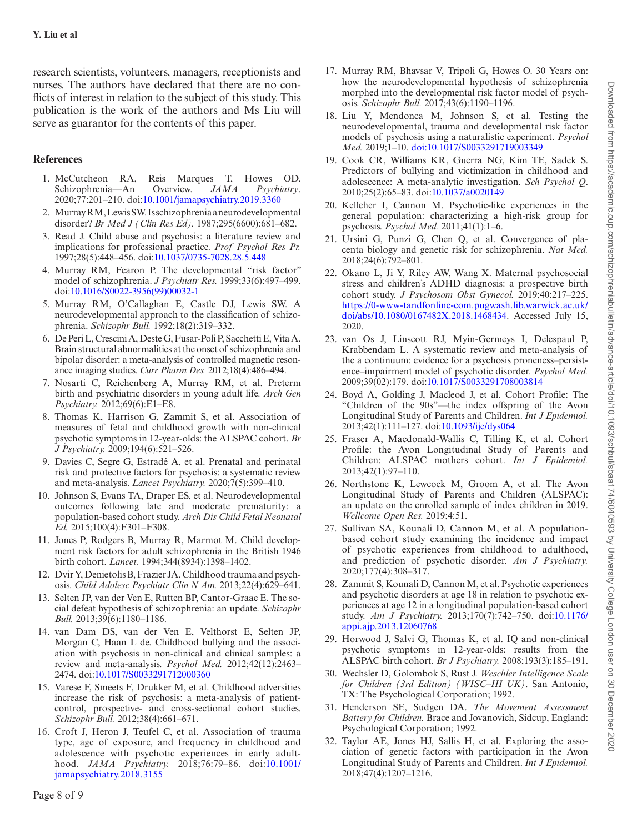research scientists, volunteers, managers, receptionists and nurses. The authors have declared that there are no conflicts of interest in relation to the subject of this study. This publication is the work of the authors and Ms Liu will serve as guarantor for the contents of this paper.

# **References**

- <span id="page-7-0"></span>1. McCutcheon RA, Reis Marques T, Howes OD. Schizophrenia—An Overview. *JAMA Psychiatry*. 2020;77:201–210. doi[:10.1001/jamapsychiatry.2019.3360](https://doi.org/10.1001/jamapsychiatry.2019.3360)
- <span id="page-7-1"></span>2. Murray RM, Lewis SW. Is schizophrenia a neurodevelopmental disorder? *Br Med J (Clin Res Ed).* 1987;295(6600):681–682.
- <span id="page-7-2"></span>3. Read J. Child abuse and psychosis: a literature review and implications for professional practice. *Prof Psychol Res Pr.* 1997;28(5):448–456. doi:[10.1037/0735-7028.28.5.448](https://doi.org/10.1037/0735-7028.28.5.448)
- <span id="page-7-3"></span>4. Murray RM, Fearon P. The developmental "risk factor" model of schizophrenia. *J Psychiatr Res.* 1999;33(6):497–499. doi[:10.1016/S0022-3956\(99\)00032-1](https://doi.org/10.1016/S0022-3956(99)00032-1)
- <span id="page-7-4"></span>5. Murray RM, O'Callaghan E, Castle DJ, Lewis SW. A neurodevelopmental approach to the classification of schizophrenia. *Schizophr Bull.* 1992;18(2):319–332.
- <span id="page-7-5"></span>6. De Peri L, Crescini A, Deste G, Fusar-Poli P, Sacchetti E, Vita A. Brain structural abnormalities at the onset of schizophrenia and bipolar disorder: a meta-analysis of controlled magnetic resonance imaging studies. *Curr Pharm Des.* 2012;18(4):486–494.
- <span id="page-7-6"></span>7. Nosarti C, Reichenberg A, Murray RM, et al. Preterm birth and psychiatric disorders in young adult life. *Arch Gen Psychiatry.* 2012;69(6):E1–E8.
- <span id="page-7-15"></span>8. Thomas K, Harrison G, Zammit S, et al. Association of measures of fetal and childhood growth with non-clinical psychotic symptoms in 12-year-olds: the ALSPAC cohort. *Br J Psychiatry.* 2009;194(6):521–526.
- <span id="page-7-7"></span>9. Davies C, Segre G, Estradé A, et al. Prenatal and perinatal risk and protective factors for psychosis: a systematic review and meta-analysis. *Lancet Psychiatry.* 2020;7(5):399–410.
- <span id="page-7-8"></span>10. Johnson S, Evans TA, Draper ES, et al. Neurodevelopmental outcomes following late and moderate prematurity: a population-based cohort study. *Arch Dis Child Fetal Neonatal Ed.* 2015;100(4):F301–F308.
- <span id="page-7-9"></span>11. Jones P, Rodgers B, Murray R, Marmot M. Child development risk factors for adult schizophrenia in the British 1946 birth cohort. *Lancet.* 1994;344(8934):1398–1402.
- <span id="page-7-10"></span>12. Dvir Y, Denietolis B, Frazier JA. Childhood trauma and psychosis. *Child Adolesc Psychiatr Clin N Am.* 2013;22(4):629–641.
- <span id="page-7-11"></span>13. Selten JP, van der Ven E, Rutten BP, Cantor-Graae E. The social defeat hypothesis of schizophrenia: an update. *Schizophr Bull.* 2013;39(6):1180–1186.
- <span id="page-7-12"></span>14. van Dam DS, van der Ven E, Velthorst E, Selten JP, Morgan C, Haan L de. Childhood bullying and the association with psychosis in non-clinical and clinical samples: a review and meta-analysis. *Psychol Med.* 2012;42(12):2463– 2474. doi:[10.1017/S0033291712000360](https://doi.org/10.1017/S0033291712000360)
- <span id="page-7-13"></span>15. Varese F, Smeets F, Drukker M, et al. Childhood adversities increase the risk of psychosis: a meta-analysis of patientcontrol, prospective- and cross-sectional cohort studies. *Schizophr Bull.* 2012;38(4):661–671.
- <span id="page-7-14"></span>16. Croft J, Heron J, Teufel C, et al. Association of trauma type, age of exposure, and frequency in childhood and adolescence with psychotic experiences in early adulthood. *JAMA Psychiatry.* 2018;76:79–86. doi:[10.1001/](https://doi.org/10.1001/jamapsychiatry.2018.3155) [jamapsychiatry.2018.3155](https://doi.org/10.1001/jamapsychiatry.2018.3155)
- 17. Murray RM, Bhavsar V, Tripoli G, Howes O. 30 Years on: how the neurodevelopmental hypothesis of schizophrenia morphed into the developmental risk factor model of psychosis. *Schizophr Bull.* 2017;43(6):1190–1196.
- 18. Liu Y, Mendonca M, Johnson S, et al. Testing the neurodevelopmental, trauma and developmental risk factor models of psychosis using a naturalistic experiment. *Psychol Med.* 2019;1–10. [doi:10.1017/S0033291719003349](https://doi.org/doi:10.1017/S0033291719003349)
- 19. Cook CR, Williams KR, Guerra NG, Kim TE, Sadek S. Predictors of bullying and victimization in childhood and adolescence: A meta-analytic investigation. *Sch Psychol Q*. 2010;25(2):65–83. doi:[10.1037/a0020149](https://doi.org/10.1037/a0020149)
- 20. Kelleher I, Cannon M. Psychotic-like experiences in the general population: characterizing a high-risk group for psychosis. *Psychol Med.* 2011;41(1):1–6.
- 21. Ursini G, Punzi G, Chen Q, et al. Convergence of placenta biology and genetic risk for schizophrenia. *Nat Med.* 2018;24(6):792–801.
- 22. Okano L, Ji Y, Riley AW, Wang X. Maternal psychosocial stress and children's ADHD diagnosis: a prospective birth cohort study. *J Psychosom Obst Gynecol.* 2019;40:217–225. [https://0-www-tandfonline-com.pugwash.lib.warwick.ac.uk/](https://0-www-tandfonline-com.pugwash.lib.warwick.ac.uk/doi/abs/10.1080/0167482X.2018.1468434) [doi/abs/10.1080/0167482X.2018.1468434](https://0-www-tandfonline-com.pugwash.lib.warwick.ac.uk/doi/abs/10.1080/0167482X.2018.1468434). Accessed July 15, 2020.
- 23. van Os J, Linscott RJ, Myin-Germeys I, Delespaul P, Krabbendam L. A systematic review and meta-analysis of the a continuum: evidence for a psychosis proneness–persistence–impairment model of psychotic disorder. *Psychol Med.* 2009;39(02):179. doi[:10.1017/S0033291708003814](https://doi.org/10.1017/S0033291708003814)
- 24. Boyd A, Golding J, Macleod J, et al. Cohort Profile: The "Children of the 90s"—the index offspring of the Avon Longitudinal Study of Parents and Children. *Int J Epidemiol.* 2013;42(1):111–127. doi:[10.1093/ije/dys064](https://doi.org/10.1093/ije/dys064)
- 25. Fraser A, Macdonald-Wallis C, Tilling K, et al. Cohort Profile: the Avon Longitudinal Study of Parents and Children: ALSPAC mothers cohort. *Int J Epidemiol.* 2013;42(1):97–110.
- 26. Northstone K, Lewcock M, Groom A, et al. The Avon Longitudinal Study of Parents and Children (ALSPAC): an update on the enrolled sample of index children in 2019. *Wellcome Open Res.* 2019;4:51.
- 27. Sullivan SA, Kounali D, Cannon M, et al. A populationbased cohort study examining the incidence and impact of psychotic experiences from childhood to adulthood, and prediction of psychotic disorder. *Am J Psychiatry.* 2020;177(4):308–317.
- 28. Zammit S, Kounali D, Cannon M, et al. Psychotic experiences and psychotic disorders at age 18 in relation to psychotic experiences at age 12 in a longitudinal population-based cohort study. *Am J Psychiatry.* 2013;170(7):742–750. doi:[10.1176/](https://doi.org/10.1176/appi.ajp.2013.12060768) [appi.ajp.2013.12060768](https://doi.org/10.1176/appi.ajp.2013.12060768)
- 29. Horwood J, Salvi G, Thomas K, et al. IQ and non-clinical psychotic symptoms in 12-year-olds: results from the ALSPAC birth cohort. *Br J Psychiatry.* 2008;193(3):185–191.
- 30. Wechsler D, Golombok S, Rust J. *Weschler Intelligence Scale for Children (3rd Edition) (WISC–III UK)*. San Antonio, TX: The Psychological Corporation; 1992.
- 31. Henderson SE, Sudgen DA. *The Movement Assessment Battery for Children.* Brace and Jovanovich, Sidcup, England: Psychological Corporation; 1992.
- 32. Taylor AE, Jones HJ, Sallis H, et al. Exploring the association of genetic factors with participation in the Avon Longitudinal Study of Parents and Children. *Int J Epidemiol.* 2018;47(4):1207–1216.